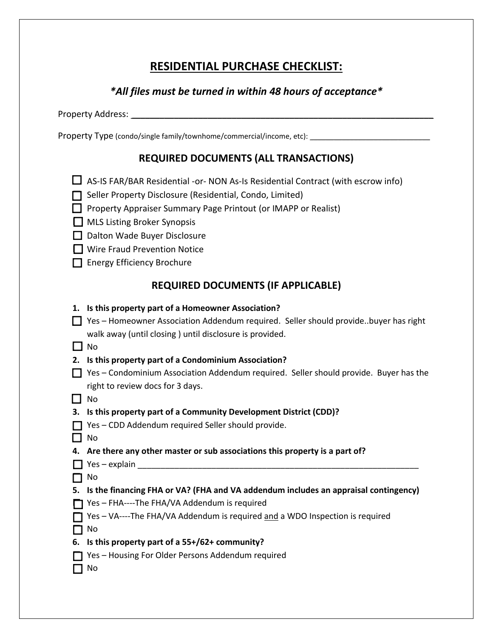## **RESIDENTIAL PURCHASE CHECKLIST:**

## *\*All files must be turned in within 48 hours of acceptance\**

Property Address: \_\_\_\_\_\_\_\_\_\_\_\_\_\_\_\_\_\_\_\_\_\_\_\_\_\_\_\_\_\_\_\_\_\_\_\_\_\_\_\_\_\_\_\_\_\_\_\_\_\_\_\_\_\_\_\_\_\_\_\_\_\_\_

Property Type (condo/single family/townhome/commercial/income, etc): \_\_\_\_\_\_\_\_\_\_\_

## **REQUIRED DOCUMENTS (ALL TRANSACTIONS)**

- $\Box$  AS-IS FAR/BAR Residential -or- NON As-Is Residential Contract (with escrow info)
- Seller Property Disclosure (Residential, Condo, Limited)
- **Property Appraiser Summary Page Printout (or IMAPP or Realist)**
- $\Box$  MLS Listing Broker Synopsis
- D Dalton Wade Buyer Disclosure
- □ Wire Fraud Prevention Notice
- Energy Efficiency Brochure

## **REQUIRED DOCUMENTS (IF APPLICABLE)**

**1. Is this property part of a Homeowner Association?** Yes – Homeowner Association Addendum required. Seller should provide..buyer has right

walk away (until closing ) until disclosure is provided.

 $\Box$  No

- **2. Is this property part of a Condominium Association?**
- $\Box$  Yes Condominium Association Addendum required. Seller should provide. Buyer has the right to review docs for 3 days.
- $\Box$  No
- **3. Is this property part of a Community Development District (CDD)?**
- $\Box$  Yes CDD Addendum required Seller should provide.
- $\Box$  No
- **4. Are there any other master or sub associations this property is a part of?**
- $\Box$  Yes explain
- $\Box$  No
- **5. Is the financing FHA or VA? (FHA and VA addendum includes an appraisal contingency)**
- Yes FHA----The FHA/VA Addendum is required
- Yes VA----The FHA/VA Addendum is required and a WDO Inspection is required
- $\Box$  No
- **6. Is this property part of a 55+/62+ community?**
- Yes Housing For Older Persons Addendum required
- $\Box$  No